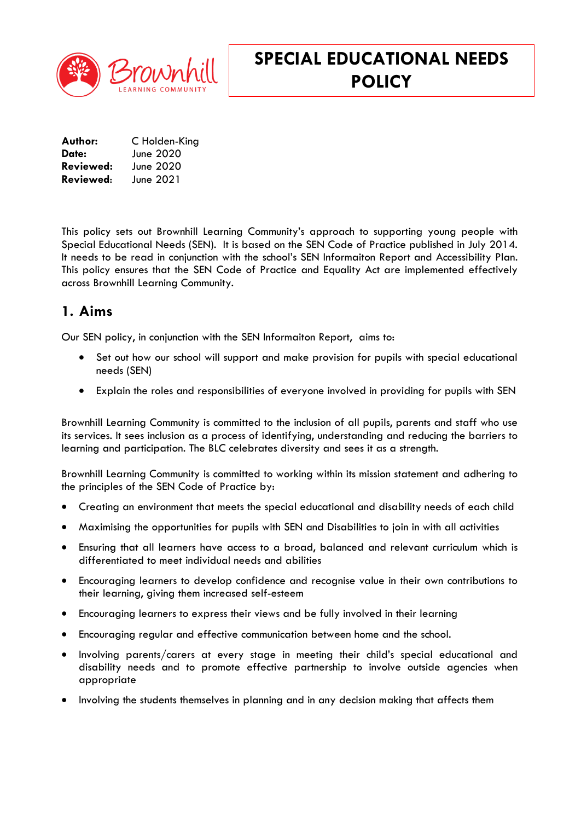

# **SPECIAL EDUCATIONAL NEEDS POLICY**

| Author:   | C Holden-King |
|-----------|---------------|
| Date:     | June 2020     |
| Reviewed: | June 2020     |
| Reviewed: | June 2021     |

This policy sets out Brownhill Learning Community's approach to supporting young people with Special Educational Needs (SEN). It is based on the SEN Code of Practice published in July 2014. It needs to be read in conjunction with the school's SEN Informaiton Report and Accessibility Plan. This policy ensures that the SEN Code of Practice and Equality Act are implemented effectively across Brownhill Learning Community.

### **1. Aims**

Our SEN policy, in conjunction with the SEN Informaiton Report, aims to:

- Set out how our school will support and make provision for pupils with special educational needs (SEN)
- Explain the roles and responsibilities of everyone involved in providing for pupils with SEN

Brownhill Learning Community is committed to the inclusion of all pupils, parents and staff who use its services. It sees inclusion as a process of identifying, understanding and reducing the barriers to learning and participation. The BLC celebrates diversity and sees it as a strength.

Brownhill Learning Community is committed to working within its mission statement and adhering to the principles of the SEN Code of Practice by:

- Creating an environment that meets the special educational and disability needs of each child
- Maximising the opportunities for pupils with SEN and Disabilities to join in with all activities
- Ensuring that all learners have access to a broad, balanced and relevant curriculum which is differentiated to meet individual needs and abilities
- Encouraging learners to develop confidence and recognise value in their own contributions to their learning, giving them increased self-esteem
- Encouraging learners to express their views and be fully involved in their learning
- Encouraging regular and effective communication between home and the school.
- Involving parents/carers at every stage in meeting their child's special educational and disability needs and to promote effective partnership to involve outside agencies when appropriate
- Involving the students themselves in planning and in any decision making that affects them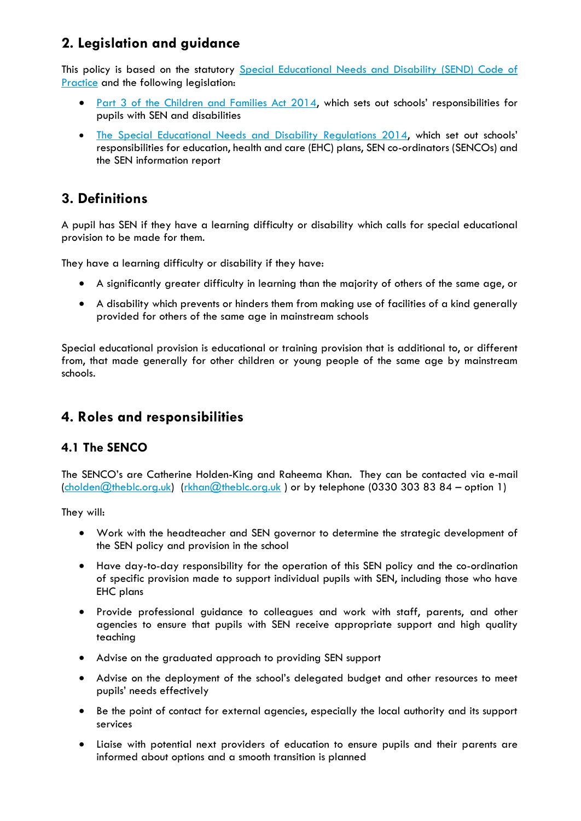# **2. Legislation and guidance**

This policy is based on the statutory Special Educational Needs and Disability (SEND) Code of [Practice](https://www.gov.uk/government/uploads/system/uploads/attachment_data/file/398815/SEND_Code_of_Practice_January_2015.pdf) and the following legislation:

- [Part 3 of the Children and Families Act 2014](http://www.legislation.gov.uk/ukpga/2014/6/part/3), which sets out schools' responsibilities for pupils with SEN and disabilities
- [The Special Educational Needs and Disability Regulations 2014](http://www.legislation.gov.uk/uksi/2014/1530/contents/made), which set out schools' responsibilities for education, health and care (EHC) plans, SEN co-ordinators (SENCOs) and the SEN information report

### **3. Definitions**

A pupil has SEN if they have a learning difficulty or disability which calls for special educational provision to be made for them.

They have a learning difficulty or disability if they have:

- A significantly greater difficulty in learning than the majority of others of the same age, or
- A disability which prevents or hinders them from making use of facilities of a kind generally provided for others of the same age in mainstream schools

Special educational provision is educational or training provision that is additional to, or different from, that made generally for other children or young people of the same age by mainstream schools.

## **4. Roles and responsibilities**

#### **4.1 The SENCO**

The SENCO's are Catherine Holden-King and Raheema Khan. They can be contacted via e-mail [\(cholden@theblc.org.uk\)](mailto:cholden@theblc.org.uk) [\(rkhan@theblc.org.uk](mailto:rkhan@theblc.org.uk)) or by telephone (0330 303 83 84 – option 1)

They will:

- Work with the headteacher and SEN governor to determine the strategic development of the SEN policy and provision in the school
- Have day-to-day responsibility for the operation of this SEN policy and the co-ordination of specific provision made to support individual pupils with SEN, including those who have EHC plans
- Provide professional guidance to colleagues and work with staff, parents, and other agencies to ensure that pupils with SEN receive appropriate support and high quality teaching
- Advise on the graduated approach to providing SEN support
- Advise on the deployment of the school's delegated budget and other resources to meet pupils' needs effectively
- Be the point of contact for external agencies, especially the local authority and its support services
- Liaise with potential next providers of education to ensure pupils and their parents are informed about options and a smooth transition is planned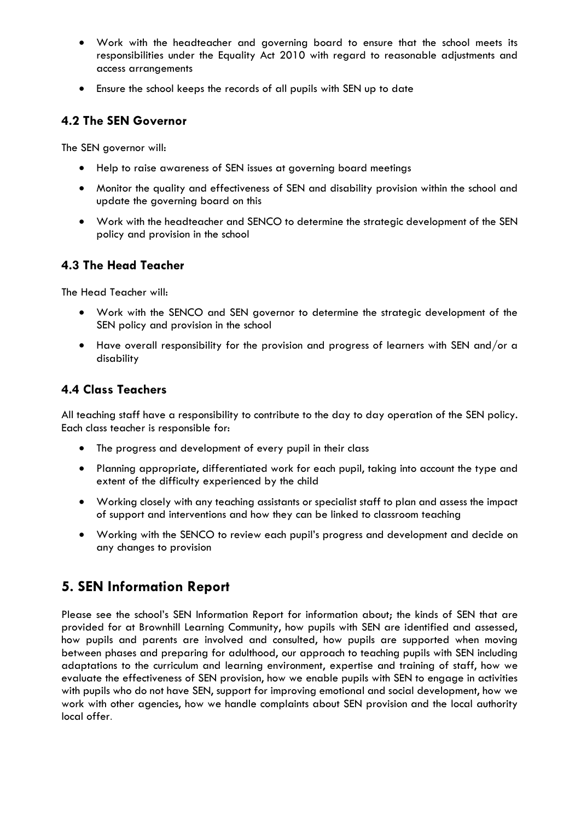- Work with the headteacher and governing board to ensure that the school meets its responsibilities under the Equality Act 2010 with regard to reasonable adjustments and access arrangements
- Ensure the school keeps the records of all pupils with SEN up to date

#### **4.2 The SEN Governor**

The SEN governor will:

- Help to raise awareness of SEN issues at governing board meetings
- Monitor the quality and effectiveness of SEN and disability provision within the school and update the governing board on this
- Work with the headteacher and SENCO to determine the strategic development of the SEN policy and provision in the school

#### **4.3 The Head Teacher**

The Head Teacher will:

- Work with the SENCO and SEN governor to determine the strategic development of the SEN policy and provision in the school
- Have overall responsibility for the provision and progress of learners with SEN and/or a disability

#### **4.4 Class Teachers**

All teaching staff have a responsibility to contribute to the day to day operation of the SEN policy. Each class teacher is responsible for:

- The progress and development of every pupil in their class
- Planning appropriate, differentiated work for each pupil, taking into account the type and extent of the difficulty experienced by the child
- Working closely with any teaching assistants or specialist staff to plan and assess the impact of support and interventions and how they can be linked to classroom teaching
- Working with the SENCO to review each pupil's progress and development and decide on any changes to provision

## **5. SEN Information Report**

Please see the school's SEN Information Report for information about; the kinds of SEN that are provided for at Brownhill Learning Community, how pupils with SEN are identified and assessed, how pupils and parents are involved and consulted, how pupils are supported when moving between phases and preparing for adulthood, our approach to teaching pupils with SEN including adaptations to the curriculum and learning environment, expertise and training of staff, how we evaluate the effectiveness of SEN provision, how we enable pupils with SEN to engage in activities with pupils who do not have SEN, support for improving emotional and social development, how we work with other agencies, how we handle complaints about SEN provision and the local authority local offer.